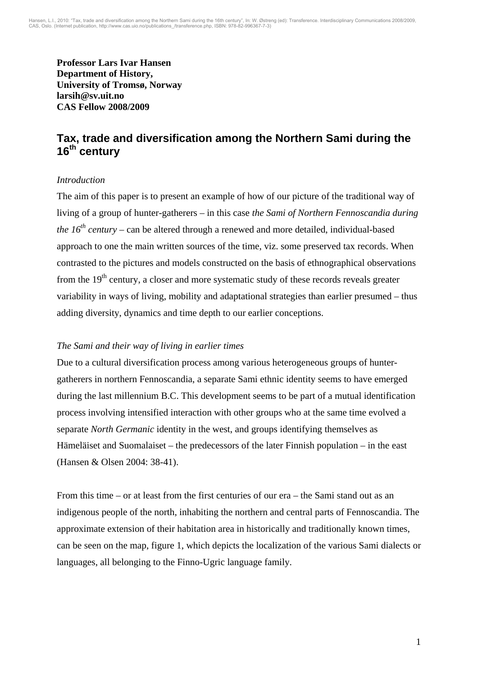**Professor Lars Ivar Hansen Department of History, University of Tromsø, Norway larsih@sv.uit.no CAS Fellow 2008/2009** 

# **Tax, trade and diversification among the Northern Sami during the 16th century**

## *Introduction*

The aim of this paper is to present an example of how of our picture of the traditional way of living of a group of hunter-gatherers – in this case *the Sami of Northern Fennoscandia during the*  $16<sup>th</sup>$  *century* – can be altered through a renewed and more detailed, individual-based approach to one the main written sources of the time, viz. some preserved tax records. When contrasted to the pictures and models constructed on the basis of ethnographical observations from the 19<sup>th</sup> century, a closer and more systematic study of these records reveals greater variability in ways of living, mobility and adaptational strategies than earlier presumed – thus adding diversity, dynamics and time depth to our earlier conceptions.

## *The Sami and their way of living in earlier times*

Due to a cultural diversification process among various heterogeneous groups of huntergatherers in northern Fennoscandia, a separate Sami ethnic identity seems to have emerged during the last millennium B.C. This development seems to be part of a mutual identification process involving intensified interaction with other groups who at the same time evolved a separate *North Germanic* identity in the west, and groups identifying themselves as Hämeläiset and Suomalaiset – the predecessors of the later Finnish population – in the east (Hansen & Olsen 2004: 38-41).

From this time – or at least from the first centuries of our era – the Sami stand out as an indigenous people of the north, inhabiting the northern and central parts of Fennoscandia. The approximate extension of their habitation area in historically and traditionally known times, can be seen on the map, figure 1, which depicts the localization of the various Sami dialects or languages, all belonging to the Finno-Ugric language family.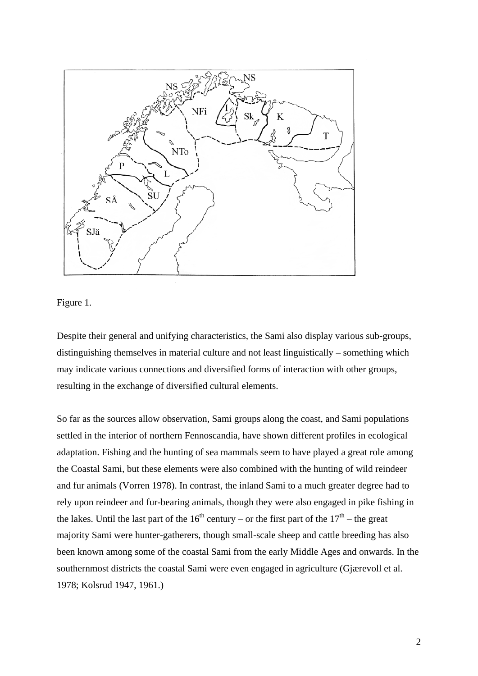

Figure 1.

Despite their general and unifying characteristics, the Sami also display various sub-groups, distinguishing themselves in material culture and not least linguistically – something which may indicate various connections and diversified forms of interaction with other groups, resulting in the exchange of diversified cultural elements.

So far as the sources allow observation, Sami groups along the coast, and Sami populations settled in the interior of northern Fennoscandia, have shown different profiles in ecological adaptation. Fishing and the hunting of sea mammals seem to have played a great role among the Coastal Sami, but these elements were also combined with the hunting of wild reindeer and fur animals (Vorren 1978). In contrast, the inland Sami to a much greater degree had to rely upon reindeer and fur-bearing animals, though they were also engaged in pike fishing in the lakes. Until the last part of the  $16<sup>th</sup>$  century – or the first part of the  $17<sup>th</sup>$  – the great majority Sami were hunter-gatherers, though small-scale sheep and cattle breeding has also been known among some of the coastal Sami from the early Middle Ages and onwards. In the southernmost districts the coastal Sami were even engaged in agriculture (Gjærevoll et al. 1978; Kolsrud 1947, 1961.)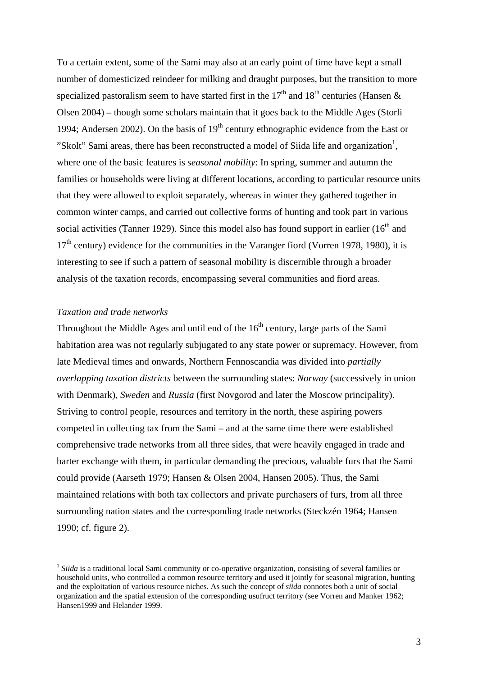To a certain extent, some of the Sami may also at an early point of time have kept a small number of domesticized reindeer for milking and draught purposes, but the transition to more specialized pastoralism seem to have started first in the  $17<sup>th</sup>$  and  $18<sup>th</sup>$  centuries (Hansen & Olsen 2004) – though some scholars maintain that it goes back to the Middle Ages (Storli 1994; Andersen 2002). On the basis of  $19<sup>th</sup>$  century ethnographic evidence from the East or "Skolt" Sami areas, there has been reconstructed a model of Siida life and organization<sup>1</sup>, where one of the basic features is *seasonal mobility*: In spring, summer and autumn the families or households were living at different locations, according to particular resource units that they were allowed to exploit separately, whereas in winter they gathered together in common winter camps, and carried out collective forms of hunting and took part in various social activities (Tanner 1929). Since this model also has found support in earlier  $(16<sup>th</sup>$  and  $17<sup>th</sup>$  century) evidence for the communities in the Varanger fiord (Vorren 1978, 1980), it is interesting to see if such a pattern of seasonal mobility is discernible through a broader analysis of the taxation records, encompassing several communities and fiord areas.

#### *Taxation and trade networks*

1

Throughout the Middle Ages and until end of the  $16<sup>th</sup>$  century, large parts of the Sami habitation area was not regularly subjugated to any state power or supremacy. However, from late Medieval times and onwards, Northern Fennoscandia was divided into *partially overlapping taxation districts* between the surrounding states: *Norway* (successively in union with Denmark), *Sweden* and *Russia* (first Novgorod and later the Moscow principality). Striving to control people, resources and territory in the north, these aspiring powers competed in collecting tax from the Sami – and at the same time there were established comprehensive trade networks from all three sides, that were heavily engaged in trade and barter exchange with them, in particular demanding the precious, valuable furs that the Sami could provide (Aarseth 1979; Hansen & Olsen 2004, Hansen 2005). Thus, the Sami maintained relations with both tax collectors and private purchasers of furs, from all three surrounding nation states and the corresponding trade networks (Steckzén 1964; Hansen 1990; cf. figure 2).

<sup>&</sup>lt;sup>1</sup> *Siida* is a traditional local Sami community or co-operative organization, consisting of several families or household units, who controlled a common resource territory and used it jointly for seasonal migration, hunting and the exploitation of various resource niches. As such the concept of *siida* connotes both a unit of social organization and the spatial extension of the corresponding usufruct territory (see Vorren and Manker 1962; Hansen1999 and Helander 1999.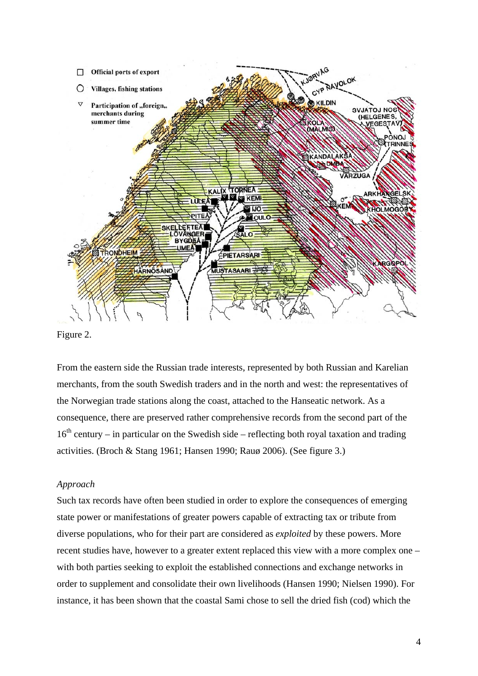

Figure 2.

From the eastern side the Russian trade interests, represented by both Russian and Karelian merchants, from the south Swedish traders and in the north and west: the representatives of the Norwegian trade stations along the coast, attached to the Hanseatic network. As a consequence, there are preserved rather comprehensive records from the second part of the  $16<sup>th</sup>$  century – in particular on the Swedish side – reflecting both royal taxation and trading activities. (Broch & Stang 1961; Hansen 1990; Rauø 2006). (See figure 3.)

#### *Approach*

Such tax records have often been studied in order to explore the consequences of emerging state power or manifestations of greater powers capable of extracting tax or tribute from diverse populations, who for their part are considered as *exploited* by these powers. More recent studies have, however to a greater extent replaced this view with a more complex one – with both parties seeking to exploit the established connections and exchange networks in order to supplement and consolidate their own livelihoods (Hansen 1990; Nielsen 1990). For instance, it has been shown that the coastal Sami chose to sell the dried fish (cod) which the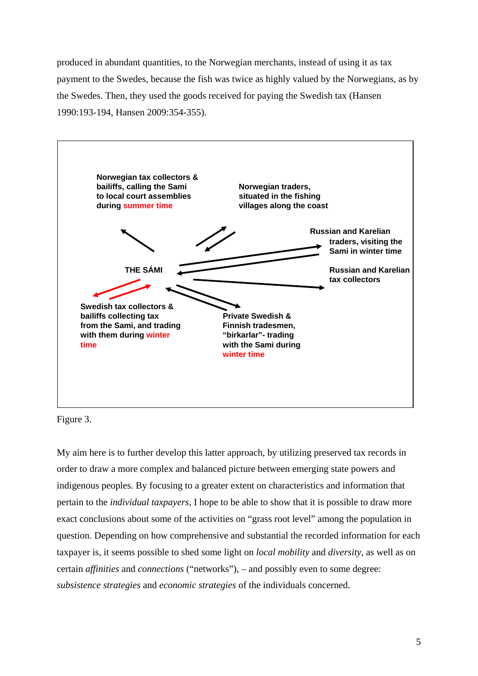produced in abundant quantities, to the Norwegian merchants, instead of using it as tax payment to the Swedes, because the fish was twice as highly valued by the Norwegians, as by the Swedes. Then, they used the goods received for paying the Swedish tax (Hansen 1990:193-194, Hansen 2009:354-355).



Figure 3.

My aim here is to further develop this latter approach, by utilizing preserved tax records in order to draw a more complex and balanced picture between emerging state powers and indigenous peoples. By focusing to a greater extent on characteristics and information that pertain to the *individual taxpayers*, I hope to be able to show that it is possible to draw more exact conclusions about some of the activities on "grass root level" among the population in question. Depending on how comprehensive and substantial the recorded information for each taxpayer is, it seems possible to shed some light on *local mobility* and *diversity*, as well as on certain *affinities* and *connections* ("networks"), – and possibly even to some degree: *subsistence strategies* and *economic strategies* of the individuals concerned.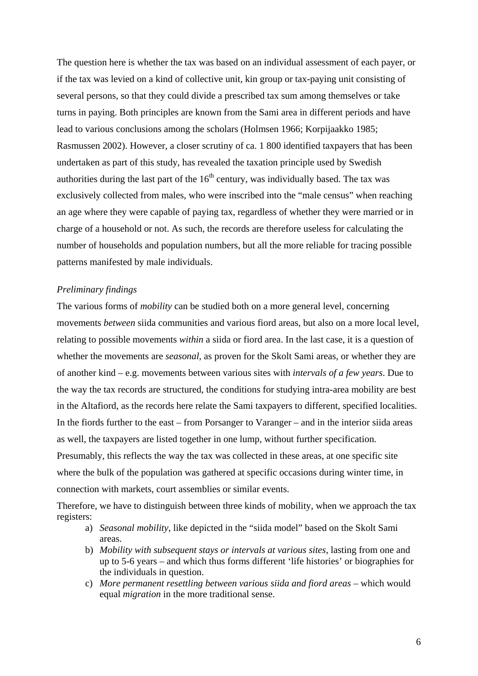The question here is whether the tax was based on an individual assessment of each payer, or if the tax was levied on a kind of collective unit, kin group or tax-paying unit consisting of several persons, so that they could divide a prescribed tax sum among themselves or take turns in paying. Both principles are known from the Sami area in different periods and have lead to various conclusions among the scholars (Holmsen 1966; Korpijaakko 1985; Rasmussen 2002). However, a closer scrutiny of ca. 1 800 identified taxpayers that has been undertaken as part of this study, has revealed the taxation principle used by Swedish authorities during the last part of the  $16<sup>th</sup>$  century, was individually based. The tax was exclusively collected from males, who were inscribed into the "male census" when reaching an age where they were capable of paying tax, regardless of whether they were married or in charge of a household or not. As such, the records are therefore useless for calculating the number of households and population numbers, but all the more reliable for tracing possible patterns manifested by male individuals.

#### *Preliminary findings*

The various forms of *mobility* can be studied both on a more general level, concerning movements *between* siida communities and various fiord areas, but also on a more local level, relating to possible movements *within* a siida or fiord area. In the last case, it is a question of whether the movements are *seasonal*, as proven for the Skolt Sami areas, or whether they are of another kind – e.g. movements between various sites with *intervals of a few years*. Due to the way the tax records are structured, the conditions for studying intra-area mobility are best in the Altafiord, as the records here relate the Sami taxpayers to different, specified localities. In the fiords further to the east – from Porsanger to Varanger – and in the interior siida areas as well, the taxpayers are listed together in one lump, without further specification. Presumably, this reflects the way the tax was collected in these areas, at one specific site where the bulk of the population was gathered at specific occasions during winter time, in

connection with markets, court assemblies or similar events.

Therefore, we have to distinguish between three kinds of mobility, when we approach the tax registers:

- a) *Seasonal mobility*, like depicted in the "siida model" based on the Skolt Sami areas.
- b) *Mobility with subsequent stays or intervals at various sites*, lasting from one and up to 5-6 years – and which thus forms different 'life histories' or biographies for the individuals in question.
- c) More permanent resettling between various siida and fiord areas which would equal *migration* in the more traditional sense.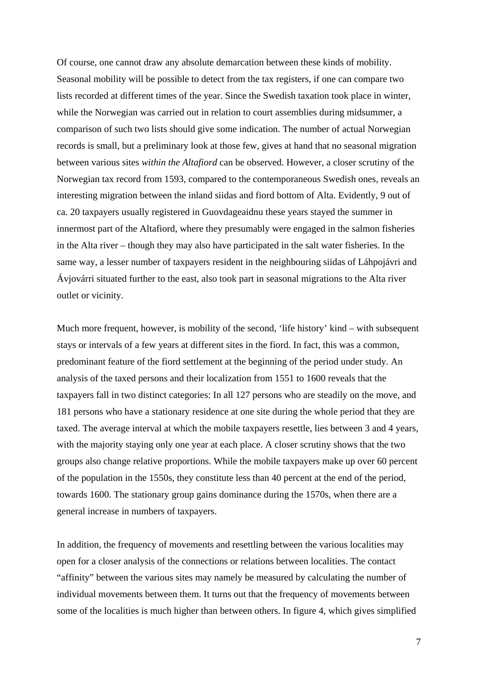Of course, one cannot draw any absolute demarcation between these kinds of mobility. Seasonal mobility will be possible to detect from the tax registers, if one can compare two lists recorded at different times of the year. Since the Swedish taxation took place in winter, while the Norwegian was carried out in relation to court assemblies during midsummer, a comparison of such two lists should give some indication. The number of actual Norwegian records is small, but a preliminary look at those few, gives at hand that no seasonal migration between various sites *within the Altafiord* can be observed. However, a closer scrutiny of the Norwegian tax record from 1593, compared to the contemporaneous Swedish ones, reveals an interesting migration between the inland siidas and fiord bottom of Alta. Evidently, 9 out of ca. 20 taxpayers usually registered in Guovdageaidnu these years stayed the summer in innermost part of the Altafiord, where they presumably were engaged in the salmon fisheries in the Alta river – though they may also have participated in the salt water fisheries. In the same way, a lesser number of taxpayers resident in the neighbouring siidas of Láhpojávri and Ávjovárri situated further to the east, also took part in seasonal migrations to the Alta river outlet or vicinity.

Much more frequent, however, is mobility of the second, 'life history' kind – with subsequent stays or intervals of a few years at different sites in the fiord. In fact, this was a common, predominant feature of the fiord settlement at the beginning of the period under study. An analysis of the taxed persons and their localization from 1551 to 1600 reveals that the taxpayers fall in two distinct categories: In all 127 persons who are steadily on the move, and 181 persons who have a stationary residence at one site during the whole period that they are taxed. The average interval at which the mobile taxpayers resettle, lies between 3 and 4 years, with the majority staying only one year at each place. A closer scrutiny shows that the two groups also change relative proportions. While the mobile taxpayers make up over 60 percent of the population in the 1550s, they constitute less than 40 percent at the end of the period, towards 1600. The stationary group gains dominance during the 1570s, when there are a general increase in numbers of taxpayers.

In addition, the frequency of movements and resettling between the various localities may open for a closer analysis of the connections or relations between localities. The contact "affinity" between the various sites may namely be measured by calculating the number of individual movements between them. It turns out that the frequency of movements between some of the localities is much higher than between others. In figure 4, which gives simplified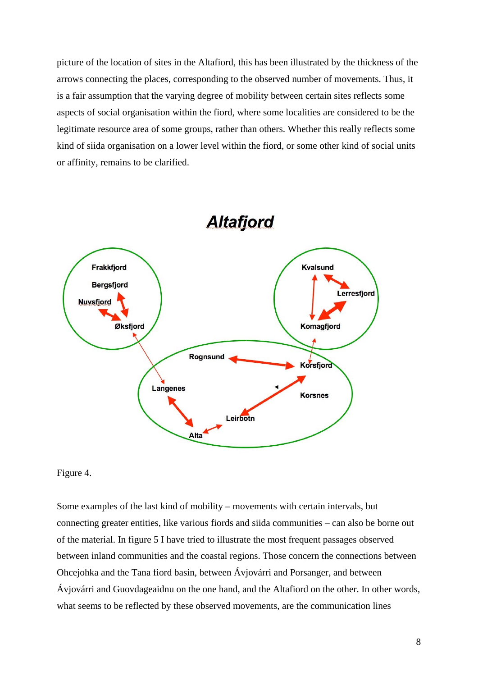picture of the location of sites in the Altafiord, this has been illustrated by the thickness of the arrows connecting the places, corresponding to the observed number of movements. Thus, it is a fair assumption that the varying degree of mobility between certain sites reflects some aspects of social organisation within the fiord, where some localities are considered to be the legitimate resource area of some groups, rather than others. Whether this really reflects some kind of siida organisation on a lower level within the fiord, or some other kind of social units or affinity, remains to be clarified.



**Altafjord** 

## Figure 4.

Some examples of the last kind of mobility – movements with certain intervals, but connecting greater entities, like various fiords and siida communities – can also be borne out of the material. In figure 5 I have tried to illustrate the most frequent passages observed between inland communities and the coastal regions. Those concern the connections between Ohcejohka and the Tana fiord basin, between Ávjovárri and Porsanger, and between Ávjovárri and Guovdageaidnu on the one hand, and the Altafiord on the other. In other words, what seems to be reflected by these observed movements, are the communication lines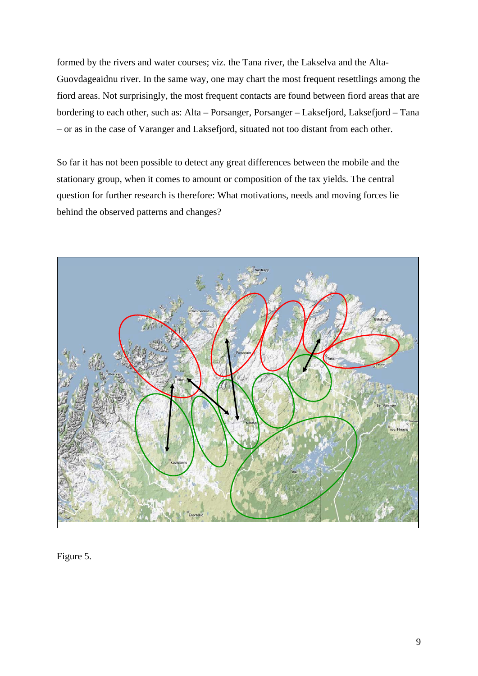formed by the rivers and water courses; viz. the Tana river, the Lakselva and the Alta-Guovdageaidnu river. In the same way, one may chart the most frequent resettlings among the fiord areas. Not surprisingly, the most frequent contacts are found between fiord areas that are bordering to each other, such as: Alta – Porsanger, Porsanger – Laksefjord, Laksefjord – Tana – or as in the case of Varanger and Laksefjord, situated not too distant from each other.

So far it has not been possible to detect any great differences between the mobile and the stationary group, when it comes to amount or composition of the tax yields. The central question for further research is therefore: What motivations, needs and moving forces lie behind the observed patterns and changes?



Figure 5.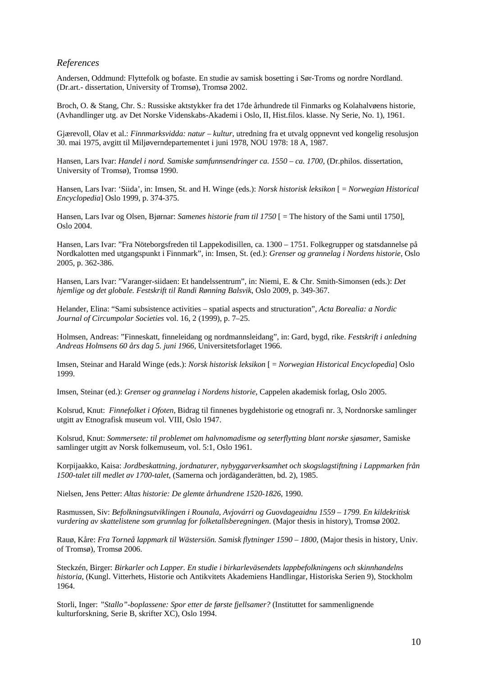#### *References*

Andersen, Oddmund: Flyttefolk og bofaste. En studie av samisk bosetting i Sør-Troms og nordre Nordland. (Dr.art.- dissertation, University of Tromsø), Tromsø 2002.

Broch, O. & Stang, Chr. S.: Russiske aktstykker fra det 17de århundrede til Finmarks og Kolahalvøens historie, (Avhandlinger utg. av Det Norske Videnskabs-Akademi i Oslo, II, Hist.filos. klasse. Ny Serie, No. 1), 1961.

Gjærevoll, Olav et al.: *Finnmarksvidda: natur – kultur*, utredning fra et utvalg oppnevnt ved kongelig resolusjon 30. mai 1975, avgitt til Miljøverndepartementet i juni 1978, NOU 1978: 18 A, 1987.

Hansen, Lars Ivar: *Handel i nord. Samiske samfunnsendringer ca. 1550 – ca. 1700*, (Dr.philos. dissertation, University of Tromsø), Tromsø 1990.

Hansen, Lars Ivar: 'Siida', in: Imsen, St. and H. Winge (eds.): *Norsk historisk leksikon* [ = *Norwegian Historical Encyclopedia*] Oslo 1999, p. 374-375.

Hansen, Lars Ivar og Olsen, Bjørnar: *Samenes historie fram til 1750* [ = The history of the Sami until 1750], Oslo 2004.

Hansen, Lars Ivar: "Fra Nöteborgsfreden til Lappekodisillen, ca. 1300 – 1751. Folkegrupper og statsdannelse på Nordkalotten med utgangspunkt i Finnmark", in: Imsen, St. (ed.): *Grenser og grannelag i Nordens historie*, Oslo 2005, p. 362-386.

Hansen, Lars Ivar: "Varanger-siidaen: Et handelssentrum", in: Niemi, E. & Chr. Smith-Simonsen (eds.): *Det hjemlige og det globale. Festskrift til Randi Rønning Balsvik*, Oslo 2009, p. 349-367.

Helander, Elina: "Sami subsistence activities – spatial aspects and structuration", *Acta Borealia: a Nordic Journal of Circumpolar Societies* vol. 16, 2 (1999), p. 7–25.

Holmsen, Andreas: "Finneskatt, finneleidang og nordmannsleidang", in: Gard, bygd, rike. *Festskrift i anledning Andreas Holmsens 60 års dag 5. juni 1966*, Universitetsforlaget 1966.

Imsen, Steinar and Harald Winge (eds.): *Norsk historisk leksikon* [ = *Norwegian Historical Encyclopedia*] Oslo 1999.

Imsen, Steinar (ed.): *Grenser og grannelag i Nordens historie*, Cappelen akademisk forlag, Oslo 2005.

Kolsrud, Knut: *Finnefolket i Ofoten*, Bidrag til finnenes bygdehistorie og etnografi nr. 3, Nordnorske samlinger utgitt av Etnografisk museum vol. VIII, Oslo 1947.

Kolsrud, Knut: *Sommersete: til problemet om halvnomadisme og seterflytting blant norske sjøsamer*, Samiske samlinger utgitt av Norsk folkemuseum, vol. 5:1, Oslo 1961.

Korpijaakko, Kaisa: *Jordbeskattning, jordnaturer, nybyggarverksamhet och skogslagstiftning i Lappmarken från 1500-talet till medlet av 1700-talet*, (Samerna och jordäganderätten, bd. 2), 1985.

Nielsen, Jens Petter: *Altas historie: De glemte århundrene 1520-1826*, 1990.

Rasmussen, Siv: *Befolkningsutviklingen i Rounala, Avjovárri og Guovdageaidnu 1559 – 1799. En kildekritisk vurdering av skattelistene som grunnlag for folketallsberegningen*. (Major thesis in history), Tromsø 2002.

Rauø, Kåre: *Fra Torneå lappmark til Wästersiön. Samisk flytninger 1590 – 1800*, (Major thesis in history, Univ. of Tromsø), Tromsø 2006.

Steckzén, Birger: *Birkarler och Lapper. En studie i birkarleväsendets lappbefolkningens och skinnhandelns historia*, (Kungl. Vitterhets, Historie och Antikvitets Akademiens Handlingar, Historiska Serien 9), Stockholm 1964.

Storli, Inger: *"Stallo"-boplassene: Spor etter de første fjellsamer?* (Instituttet for sammenlignende kulturforskning, Serie B, skrifter XC), Oslo 1994.